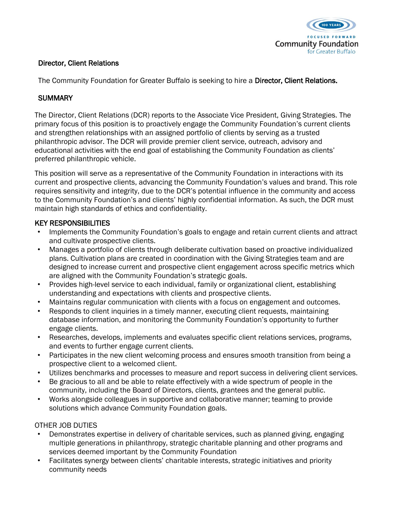

## Director, Client Relations

The Community Foundation for Greater Buffalo is seeking to hire a Director, Client Relations.

# **SUMMARY**

The Director, Client Relations (DCR) reports to the Associate Vice President, Giving Strategies. The primary focus of this position is to proactively engage the Community Foundation's current clients and strengthen relationships with an assigned portfolio of clients by serving as a trusted philanthropic advisor. The DCR will provide premier client service, outreach, advisory and educational activities with the end goal of establishing the Community Foundation as clients' preferred philanthropic vehicle.

This position will serve as a representative of the Community Foundation in interactions with its current and prospective clients, advancing the Community Foundation's values and brand. This role requires sensitivity and integrity, due to the DCR's potential influence in the community and access to the Community Foundation's and clients' highly confidential information. As such, the DCR must maintain high standards of ethics and confidentiality.

### KEY RESPONSIBILITIES

- Implements the Community Foundation's goals to engage and retain current clients and attract and cultivate prospective clients.
- Manages a portfolio of clients through deliberate cultivation based on proactive individualized plans. Cultivation plans are created in coordination with the Giving Strategies team and are designed to increase current and prospective client engagement across specific metrics which are aligned with the Community Foundation's strategic goals.
- Provides high-level service to each individual, family or organizational client, establishing understanding and expectations with clients and prospective clients.
- Maintains regular communication with clients with a focus on engagement and outcomes.
- Responds to client inquiries in a timely manner, executing client requests, maintaining database information, and monitoring the Community Foundation's opportunity to further engage clients.
- Researches, develops, implements and evaluates specific client relations services, programs, and events to further engage current clients.
- Participates in the new client welcoming process and ensures smooth transition from being a prospective client to a welcomed client.
- Utilizes benchmarks and processes to measure and report success in delivering client services.
- Be gracious to all and be able to relate effectively with a wide spectrum of people in the community, including the Board of Directors, clients, grantees and the general public.
- Works alongside colleagues in supportive and collaborative manner; teaming to provide solutions which advance Community Foundation goals.

# OTHER JOB DUTIES

- Demonstrates expertise in delivery of charitable services, such as planned giving, engaging multiple generations in philanthropy, strategic charitable planning and other programs and services deemed important by the Community Foundation
- Facilitates synergy between clients' charitable interests, strategic initiatives and priority community needs